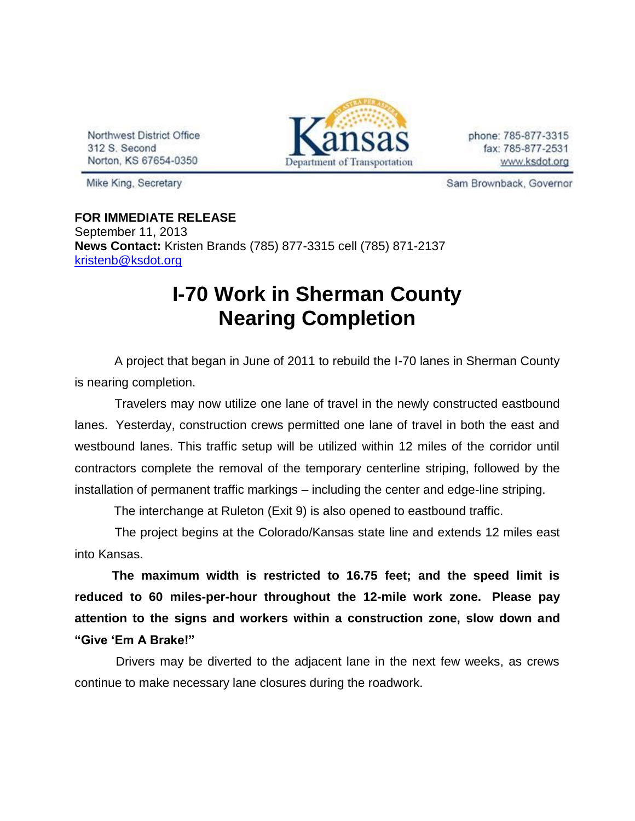Northwest District Office 312 S. Second Norton, KS 67654-0350



phone: 785-877-3315 fax: 785-877-2531 www.ksdot.org

Mike King, Secretary

Sam Brownback, Governor

**FOR IMMEDIATE RELEASE** September 11, 2013 **News Contact:** Kristen Brands (785) 877-3315 cell (785) 871-2137 [kristenb@ksdot.org](mailto:kristenb@ksdot.org)

## **I-70 Work in Sherman County Nearing Completion**

 A project that began in June of 2011 to rebuild the I-70 lanes in Sherman County is nearing completion.

 Travelers may now utilize one lane of travel in the newly constructed eastbound lanes. Yesterday, construction crews permitted one lane of travel in both the east and westbound lanes. This traffic setup will be utilized within 12 miles of the corridor until contractors complete the removal of the temporary centerline striping, followed by the installation of permanent traffic markings – including the center and edge-line striping.

The interchange at Ruleton (Exit 9) is also opened to eastbound traffic.

 The project begins at the Colorado/Kansas state line and extends 12 miles east into Kansas.

**The maximum width is restricted to 16.75 feet; and the speed limit is reduced to 60 miles-per-hour throughout the 12-mile work zone. Please pay attention to the signs and workers within a construction zone, slow down and "Give 'Em A Brake!"**

 Drivers may be diverted to the adjacent lane in the next few weeks, as crews continue to make necessary lane closures during the roadwork.